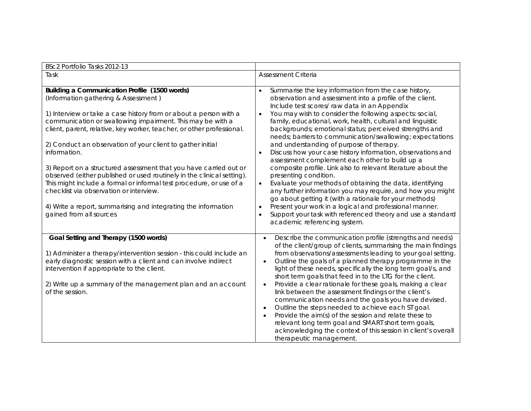| BSc2 Portfolio Tasks 2012-13                                                                                                                                                                                                                                                                                                                                                                                                                                                                                                                                                                                                                                                                                                                  |                                                                                                                                                                                                                                                                                                                                                                                                                                                                                                                                                                                                                                                                                                                                                                                                                                                                                                                                                                                                                                                               |
|-----------------------------------------------------------------------------------------------------------------------------------------------------------------------------------------------------------------------------------------------------------------------------------------------------------------------------------------------------------------------------------------------------------------------------------------------------------------------------------------------------------------------------------------------------------------------------------------------------------------------------------------------------------------------------------------------------------------------------------------------|---------------------------------------------------------------------------------------------------------------------------------------------------------------------------------------------------------------------------------------------------------------------------------------------------------------------------------------------------------------------------------------------------------------------------------------------------------------------------------------------------------------------------------------------------------------------------------------------------------------------------------------------------------------------------------------------------------------------------------------------------------------------------------------------------------------------------------------------------------------------------------------------------------------------------------------------------------------------------------------------------------------------------------------------------------------|
| Task                                                                                                                                                                                                                                                                                                                                                                                                                                                                                                                                                                                                                                                                                                                                          | <b>Assessment Criteria</b>                                                                                                                                                                                                                                                                                                                                                                                                                                                                                                                                                                                                                                                                                                                                                                                                                                                                                                                                                                                                                                    |
| Building a Communication Profile (1500 words)<br>(Information gathering & Assessment)<br>1) Interview or take a case history from or about a person with a<br>communication or swallowing impairment. This may be with a<br>client, parent, relative, key worker, teacher, or other professional.<br>2) Conduct an observation of your client to gather initial<br>information.<br>3) Report on a structured assessment that you have carried out or<br>observed (either published or used routinely in the clinical setting).<br>This might include a formal or informal test procedure, or use of a<br>checklist via observation or interview.<br>4) Write a report, summarising and integrating the information<br>gained from all sources | Summarise the key information from the case history,<br>$\bullet$<br>observation and assessment into a profile of the client.<br>Include test scores/ raw data in an Appendix<br>You may wish to consider the following aspects: social,<br>family, educational, work, health, cultural and linguistic<br>backgrounds; emotional status; perceived strengths and<br>needs; barriers to communication/swallowing; expectations<br>and understanding of purpose of therapy.<br>Discuss how your case history information, observations and<br>assessment complement each other to build up a<br>composite profile. Link also to relevant literature about the<br>presenting condition.<br>Evaluate your methods of obtaining the data, identifying<br>$\bullet$<br>any further information you may require, and how you might<br>go about getting it (with a rationale for your methods)<br>Present your work in a logical and professional manner.<br>Support your task with referenced theory and use a standard<br>$\bullet$<br>academic referencing system. |
| Goal Setting and Therapy (1500 words)<br>1) Administer a therapy/intervention session - this could include an<br>early diagnostic session with a client and can involve indirect<br>intervention if appropriate to the client.<br>2) Write up a summary of the management plan and an account<br>of the session.                                                                                                                                                                                                                                                                                                                                                                                                                              | Describe the communication profile (strengths and needs)<br>of the client/group of clients, summarising the main findings<br>from observations/assessments leading to your goal setting.<br>Outline the goals of a planned therapy programme in the<br>light of these needs, specifically the long term goal/s, and<br>short term goals that feed in to the LTG for the client.<br>Provide a clear rationale for these goals, making a clear<br>link between the assessment findings or the client's<br>communication needs and the goals you have devised.<br>Outline the steps needed to achieve each ST goal.<br>Provide the aim(s) of the session and relate these to<br>relevant long term goal and SMART short term goals,<br>acknowledging the context of this session in client's overall<br>therapeutic management.                                                                                                                                                                                                                                  |